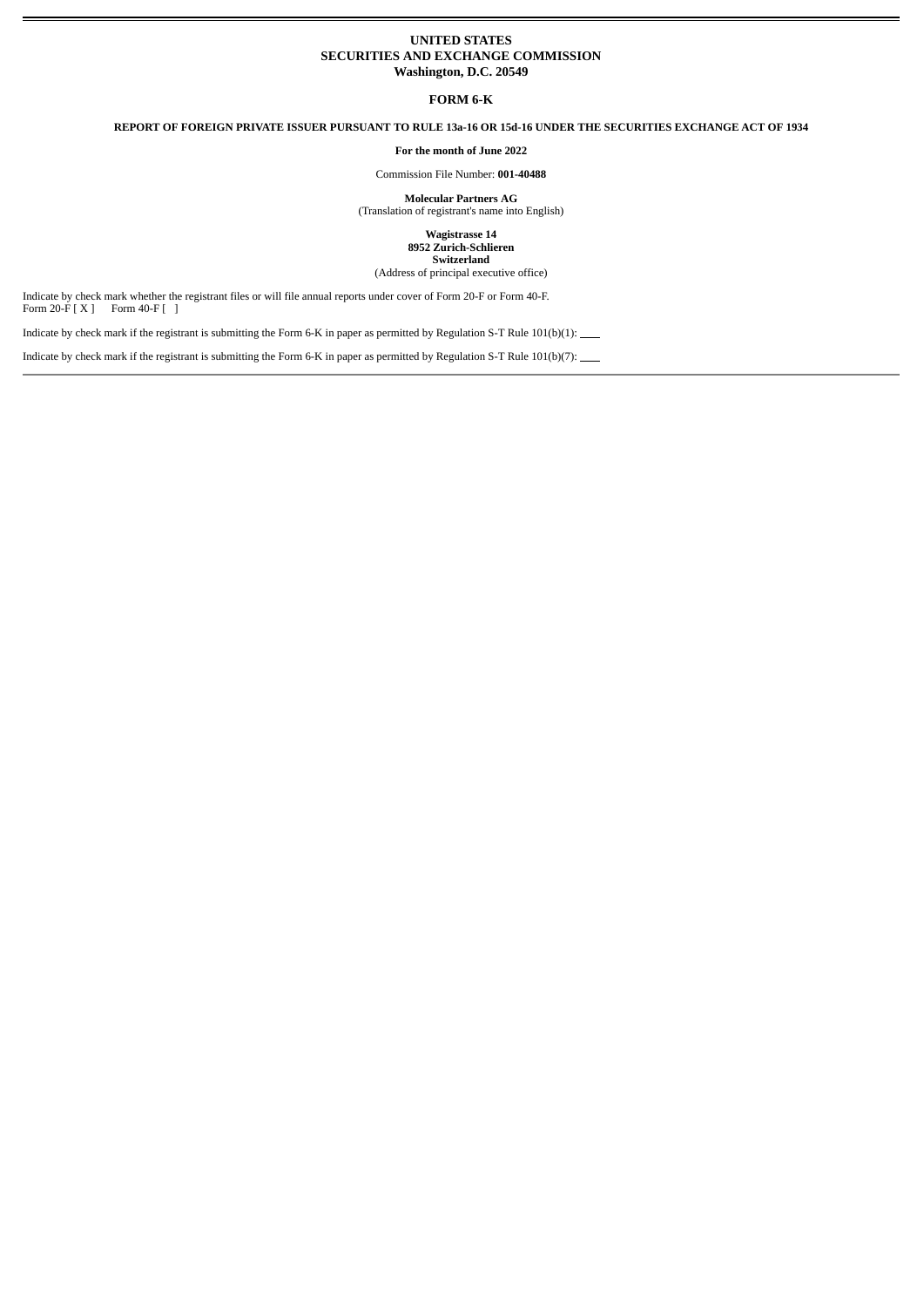## **UNITED STATES SECURITIES AND EXCHANGE COMMISSION Washington, D.C. 20549**

**FORM 6-K**

**REPORT OF FOREIGN PRIVATE ISSUER PURSUANT TO RULE 13a-16 OR 15d-16 UNDER THE SECURITIES EXCHANGE ACT OF 1934**

**For the month of June 2022**

Commission File Number: **001-40488**

**Molecular Partners AG** (Translation of registrant's name into English)

> **Wagistrasse 14 8952 Zurich-Schlieren Switzerland**

(Address of principal executive office)

Indicate by check mark whether the registrant files or will file annual reports under cover of Form 20-F or Form 40-F. Form 20-F [ X ] Form 40-F [ ]

Indicate by check mark if the registrant is submitting the Form 6-K in paper as permitted by Regulation S-T Rule 101(b)(1):

Indicate by check mark if the registrant is submitting the Form 6-K in paper as permitted by Regulation S-T Rule 101(b)(7):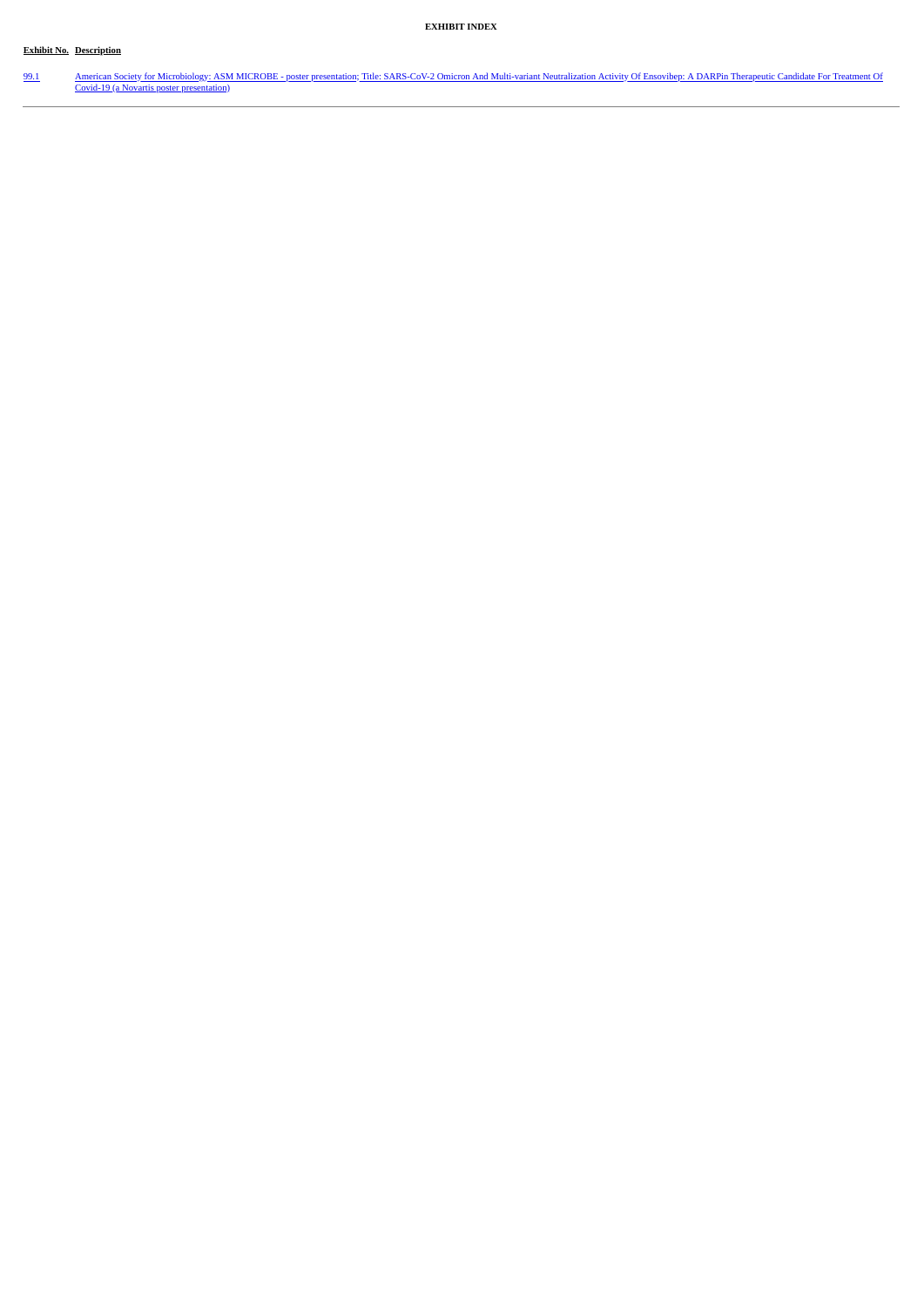## **Exhibit No. Description**

J.

[99.1](#page-3-0) American Society for [Microbiology:](#page-3-0) ASM MICROBE - poster presentation; Title: SARS-CoV-2 Omicron And Multi-variant Neutralization Activity Of Ensovibep: A DARPin Therapeutic Candidate For Treatment Of Covid-19 (a Novar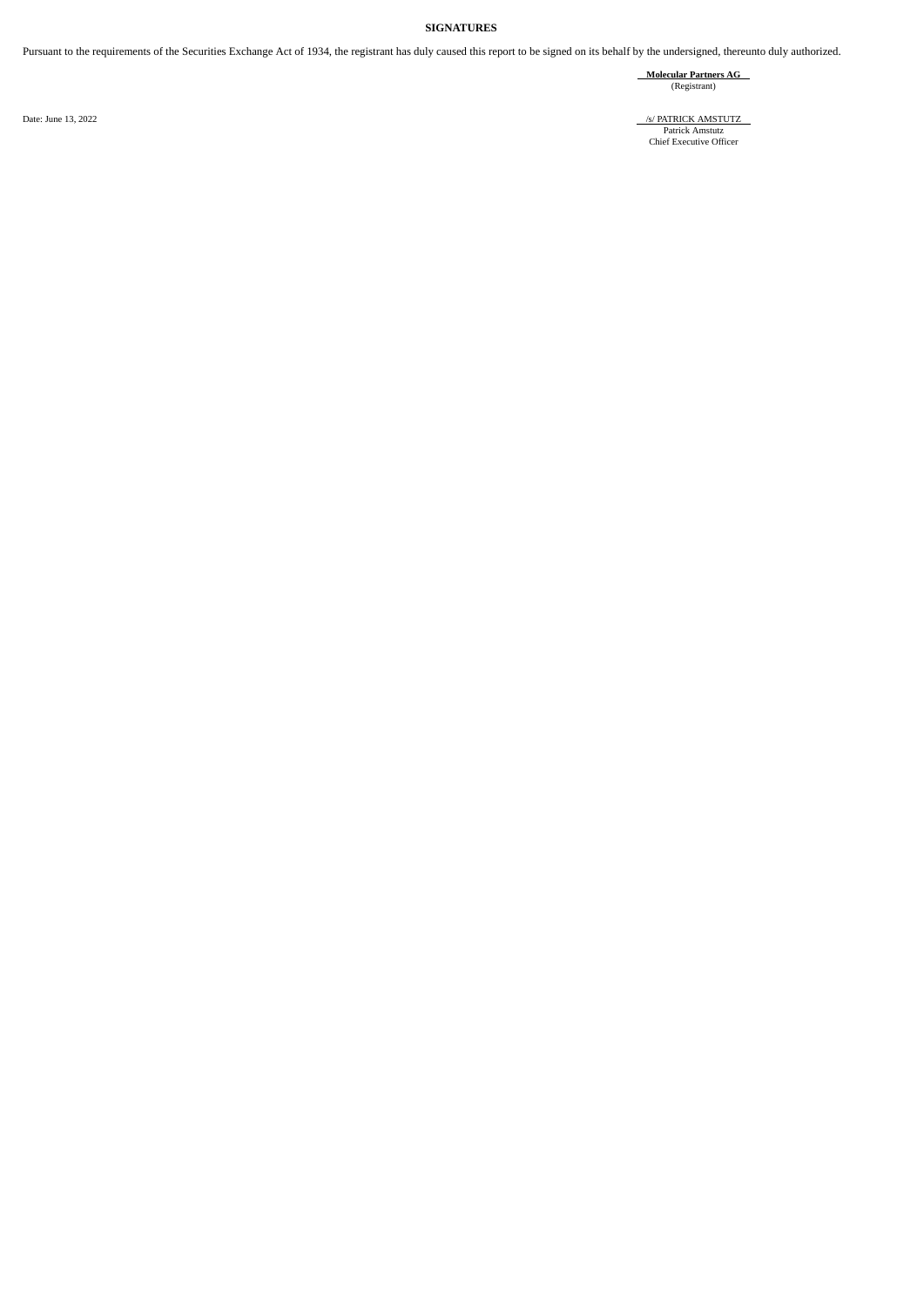## **SIGNATURES**

Pursuant to the requirements of the Securities Exchange Act of 1934, the registrant has duly caused this report to be signed on its behalf by the undersigned, thereunto duly authorized.

**Molecular Partners AG** (Registrant)

Date: June 13, 2022 /s/ PATRICK AMSTUTZ Patrick Amstutz Chief Executive Officer